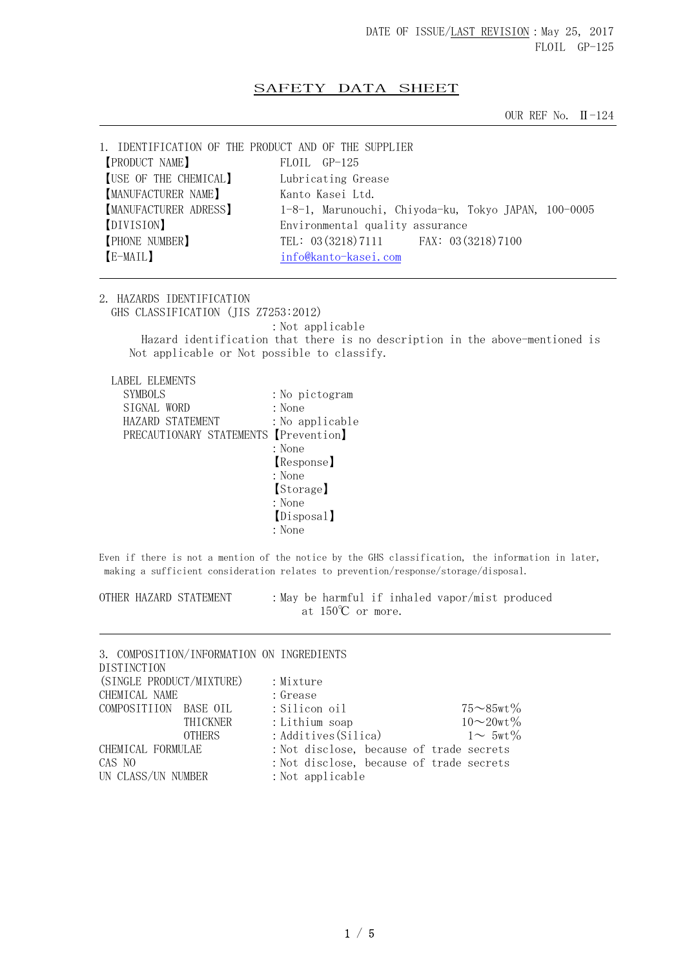## SAFETY DATA SHEET

OUR REF No. Ⅱ-124

| 1. IDENTIFICATION OF THE PRODUCT AND OF THE SUPPLIER |                                                      |
|------------------------------------------------------|------------------------------------------------------|
| <b>PRODUCT NAME</b>                                  | FLOIL GP-125                                         |
| [USE OF THE CHEMICAL]                                | Lubricating Grease                                   |
| [MANUFACTURER NAME]                                  | Kanto Kasei Ltd.                                     |
| <b>[MANUFACTURER ADRESS]</b>                         | 1-8-1, Marunouchi, Chiyoda-ku, Tokyo JAPAN, 100-0005 |
| [DIVISION]                                           | Environmental quality assurance                      |
| <b>[PHONE NUMBER]</b>                                | TEL: 03 (3218) 7111 FAX: 03 (3218) 7100              |
| [E-MAIL]                                             | info@kanto-kasei.com                                 |
|                                                      |                                                      |

2. HAZARDS IDENTIFICATION GHS CLASSIFICATION (JIS Z7253:2012)

:Not applicable

 Hazard identification that there is no description in the above-mentioned is Not applicable or Not possible to classify.

LABEL ELEMENTS

| <b>SYMBOLS</b>   | : No pictogram                        |
|------------------|---------------------------------------|
| SIGNAL WORD      | : None                                |
| HAZARD STATEMENT | : No applicable                       |
|                  | PRECAUTIONARY STATEMENTS [Prevention] |
|                  | : None                                |
|                  | Response]                             |
|                  | : None                                |
|                  | [Storage]                             |
|                  | : None                                |
|                  | (Disposal)                            |
|                  | : None                                |

Even if there is not a mention of the notice by the GHS classification, the information in later, making a sufficient consideration relates to prevention/response/storage/disposal.

OTHER HAZARD STATEMENT :May be harmful if inhaled vapor/mist produced at 150℃ or more.

| 3. COMPOSITION/INFORMATION ON INGREDIENTS |                                          |                      |
|-------------------------------------------|------------------------------------------|----------------------|
| DISTINCTION                               |                                          |                      |
| (SINGLE PRODUCT/MIXTURE)                  | : Mixture                                |                      |
| CHEMICAL NAME                             | : Grease                                 |                      |
| COMPOSITIION BASE OIL                     | : Silicon oil                            | $75 \sim 85$ wt $\%$ |
| THICKNER                                  | : Lithium soap                           | $10 - 20wt \%$       |
| <b>OTHERS</b>                             | : Additives (Silica)                     | $1 \sim 5wt\%$       |
| CHEMICAL FORMULAE                         | : Not disclose, because of trade secrets |                      |
| CAS NO                                    | : Not disclose, because of trade secrets |                      |
| UN CLASS/UN NUMBER                        | : Not applicable                         |                      |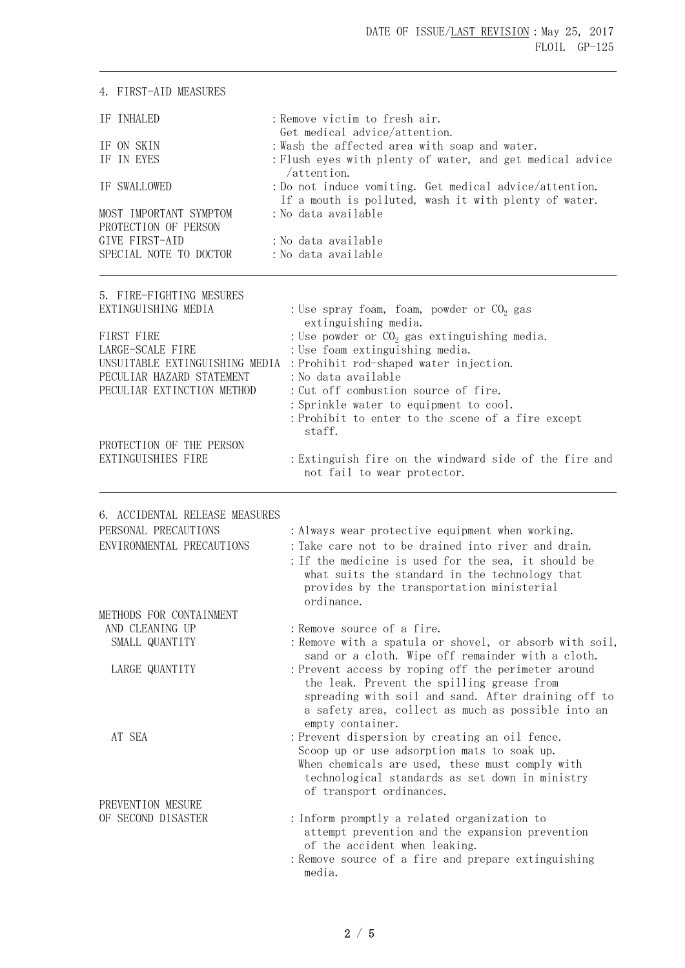| 4. FIRST-AID MEASURES          |                                                                                                                  |  |
|--------------------------------|------------------------------------------------------------------------------------------------------------------|--|
| IF INHALED                     | : Remove victim to fresh air.                                                                                    |  |
| IF ON SKIN                     | Get medical advice/attention.                                                                                    |  |
| IF IN EYES                     | : Wash the affected area with soap and water.<br>: Flush eyes with plenty of water, and get medical advice       |  |
|                                | /attention.                                                                                                      |  |
| IF SWALLOWED                   | : Do not induce vomiting. Get medical advice/attention.<br>If a mouth is polluted, wash it with plenty of water. |  |
| MOST IMPORTANT SYMPTOM         | : No data available                                                                                              |  |
| PROTECTION OF PERSON           |                                                                                                                  |  |
| GIVE FIRST-AID                 | : No data available                                                                                              |  |
| SPECIAL NOTE TO DOCTOR         | : No data available                                                                                              |  |
| 5. FIRE-FIGHTING MESURES       |                                                                                                                  |  |
| EXTINGUISHING MEDIA            | : Use spray foam, foam, powder or $CO2$ gas                                                                      |  |
|                                | extinguishing media.                                                                                             |  |
| FIRST FIRE                     | : Use powder or $CO2$ gas extinguishing media.                                                                   |  |
| LARGE-SCALE FIRE               | : Use foam extinguishing media.                                                                                  |  |
| UNSUITABLE EXTINGUISHING MEDIA | : Prohibit rod-shaped water injection.                                                                           |  |
| PECULIAR HAZARD STATEMENT      | :No data available                                                                                               |  |
| PECULIAR EXTINCTION METHOD     | : Cut off combustion source of fire.                                                                             |  |
|                                | : Sprinkle water to equipment to cool.                                                                           |  |
|                                | : Prohibit to enter to the scene of a fire except<br>staff.                                                      |  |
| PROTECTION OF THE PERSON       |                                                                                                                  |  |
| EXTINGUISHIES FIRE             | : Extinguish fire on the windward side of the fire and                                                           |  |
|                                | not fail to wear protector.                                                                                      |  |
|                                |                                                                                                                  |  |
| 6. ACCIDENTAL RELEASE MEASURES |                                                                                                                  |  |
| PERSONAL PRECAUTIONS           | : Always wear protective equipment when working.                                                                 |  |
| ENVIRONMENTAL PRECAUTIONS      | : Take care not to be drained into river and drain.                                                              |  |
|                                | : If the medicine is used for the sea, it should be                                                              |  |
|                                | what suits the standard in the technology that                                                                   |  |
|                                | provides by the transportation ministerial                                                                       |  |
|                                | ordinance.                                                                                                       |  |
| METHODS FOR CONTAINMENT        |                                                                                                                  |  |
| AND CLEANING UP                | : Remove source of a fire.                                                                                       |  |
| SMALL QUANTITY                 | : Remove with a spatula or shovel, or absorb with soil,                                                          |  |
| LARGE QUANTITY                 | sand or a cloth. Wipe off remainder with a cloth.<br>: Prevent access by roping off the perimeter around         |  |
|                                | the leak. Prevent the spilling grease from                                                                       |  |
|                                | spreading with soil and sand. After draining off to                                                              |  |
|                                | a safety area, collect as much as possible into an                                                               |  |
|                                | empty container.                                                                                                 |  |
| AT SEA                         | : Prevent dispersion by creating an oil fence.                                                                   |  |
|                                | Scoop up or use adsorption mats to soak up.                                                                      |  |
|                                | When chemicals are used, these must comply with                                                                  |  |
|                                | technological standards as set down in ministry                                                                  |  |
| PREVENTION MESURE              | of transport ordinances.                                                                                         |  |
| OF SECOND DISASTER             | : Inform promptly a related organization to                                                                      |  |
|                                | attempt prevention and the expansion prevention                                                                  |  |
|                                | of the accident when leaking.                                                                                    |  |
|                                | : Remove source of a fire and prepare extinguishing                                                              |  |
|                                | media.                                                                                                           |  |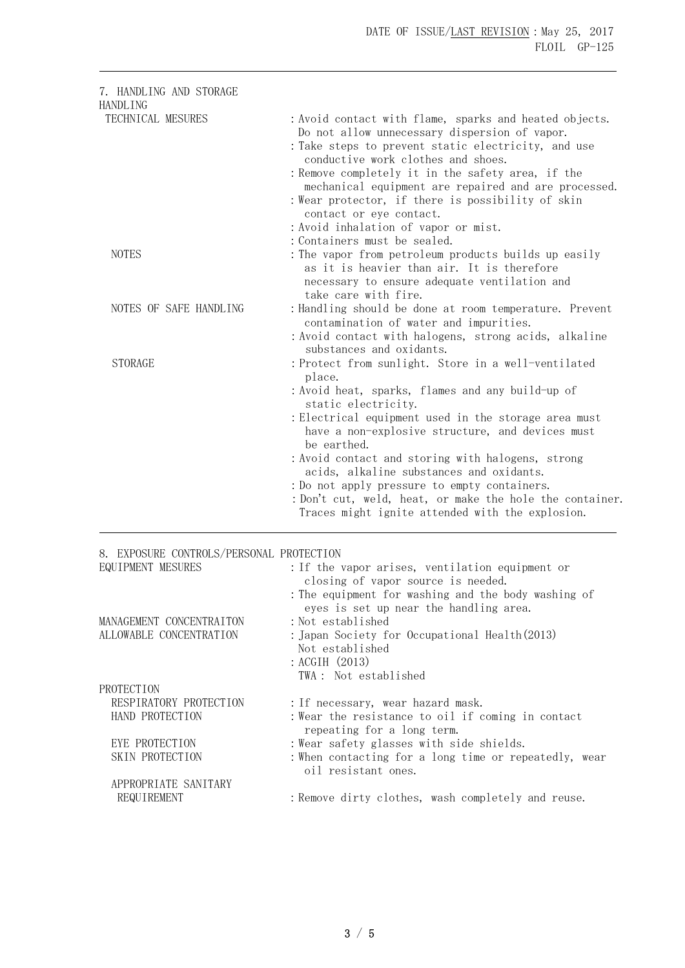| 7. HANDLING AND STORAGE<br>HANDLING                           |                                                                                                                                                                                                                                                                                                                                                                                                                                                                                                                                      |
|---------------------------------------------------------------|--------------------------------------------------------------------------------------------------------------------------------------------------------------------------------------------------------------------------------------------------------------------------------------------------------------------------------------------------------------------------------------------------------------------------------------------------------------------------------------------------------------------------------------|
| TECHNICAL MESURES                                             | : Avoid contact with flame, sparks and heated objects.<br>Do not allow unnecessary dispersion of vapor.<br>: Take steps to prevent static electricity, and use<br>conductive work clothes and shoes.<br>: Remove completely it in the safety area, if the<br>mechanical equipment are repaired and are processed.<br>: Wear protector, if there is possibility of skin<br>contact or eye contact.<br>: Avoid inhalation of vapor or mist.                                                                                            |
| <b>NOTES</b>                                                  | : Containers must be sealed.<br>: The vapor from petroleum products builds up easily<br>as it is heavier than air. It is therefore<br>necessary to ensure adequate ventilation and<br>take care with fire.                                                                                                                                                                                                                                                                                                                           |
| NOTES OF SAFE HANDLING                                        | : Handling should be done at room temperature. Prevent<br>contamination of water and impurities.<br>: Avoid contact with halogens, strong acids, alkaline<br>substances and oxidants.                                                                                                                                                                                                                                                                                                                                                |
| <b>STORAGE</b>                                                | : Protect from sunlight. Store in a well-ventilated<br>place.<br>: Avoid heat, sparks, flames and any build-up of<br>static electricity.<br>: Electrical equipment used in the storage area must<br>have a non-explosive structure, and devices must<br>be earthed.<br>: Avoid contact and storing with halogens, strong<br>acids, alkaline substances and oxidants.<br>: Do not apply pressure to empty containers.<br>: Don't cut, weld, heat, or make the hole the container.<br>Traces might ignite attended with the explosion. |
| 8. EXPOSURE CONTROLS/PERSONAL PROTECTION<br>EQUIPMENT MESURES | : If the vapor arises, ventilation equipment or<br>closing of vapor source is needed.<br>: The equipment for washing and the body washing of<br>eyes is set up near the handling area.                                                                                                                                                                                                                                                                                                                                               |
| MANAGEMENT CONCENTRAITON<br>ALLOWABLE CONCENTRATION           | :Not established<br>: Japan Society for Occupational Health(2013)<br>Not established<br>: ACGIH (2013)<br>TWA: Not established                                                                                                                                                                                                                                                                                                                                                                                                       |
| PROTECTION<br>RESPIRATORY PROTECTION<br>HAND PROTECTION       | : If necessary, wear hazard mask.<br>: Wear the resistance to oil if coming in contact<br>repeating for a long term.                                                                                                                                                                                                                                                                                                                                                                                                                 |
| EYE PROTECTION<br>SKIN PROTECTION<br>APPROPRIATE SANITARY     | : Wear safety glasses with side shields.<br>: When contacting for a long time or repeatedly, wear<br>oil resistant ones.                                                                                                                                                                                                                                                                                                                                                                                                             |
| REQUIREMENT                                                   | : Remove dirty clothes, wash completely and reuse.                                                                                                                                                                                                                                                                                                                                                                                                                                                                                   |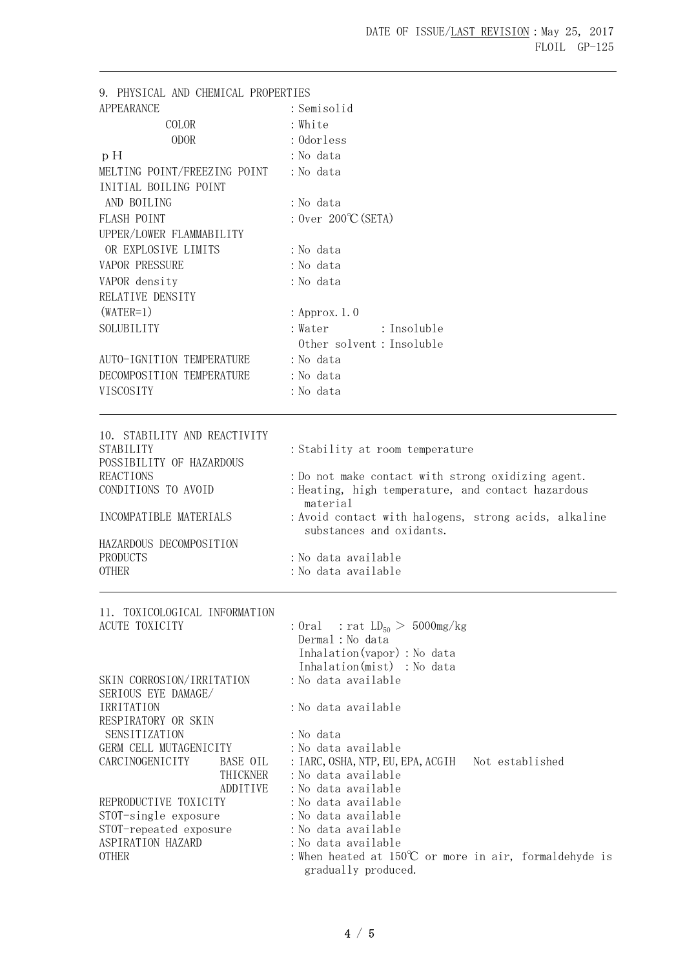| 9. PHYSICAL AND CHEMICAL PROPERTIES                   |                                                                                               |
|-------------------------------------------------------|-----------------------------------------------------------------------------------------------|
| <b>APPEARANCE</b>                                     | : Semisolid                                                                                   |
| COLOR                                                 | : White                                                                                       |
| <b>ODOR</b>                                           | : Odorless                                                                                    |
| p H                                                   | : No data                                                                                     |
| MELTING POINT/FREEZING POINT                          | : No data                                                                                     |
| INITIAL BOILING POINT                                 |                                                                                               |
| AND BOILING                                           | : No data                                                                                     |
| FLASH POINT                                           | : Over $200^{\circ}$ C (SETA)                                                                 |
| UPPER/LOWER FLAMMABILITY                              |                                                                                               |
| OR EXPLOSIVE LIMITS                                   | : No data                                                                                     |
| <b>VAPOR PRESSURE</b>                                 | : No data                                                                                     |
| VAPOR density                                         | :No data                                                                                      |
| RELATIVE DENSITY                                      |                                                                                               |
| $(WATER=1)$                                           | : Approx. 1.0                                                                                 |
| SOLUBILITY                                            | : Water<br>: Insoluble                                                                        |
|                                                       | Other solvent : Insoluble                                                                     |
| AUTO-IGNITION TEMPERATURE                             | : No data                                                                                     |
| DECOMPOSITION TEMPERATURE                             | : No data                                                                                     |
| VISCOSITY                                             | : No data                                                                                     |
|                                                       |                                                                                               |
| 10. STABILITY AND REACTIVITY                          |                                                                                               |
| STABILITY<br>POSSIBILITY OF HAZARDOUS                 | : Stability at room temperature                                                               |
| <b>REACTIONS</b>                                      | : Do not make contact with strong oxidizing agent.                                            |
| CONDITIONS TO AVOID                                   | : Heating, high temperature, and contact hazardous<br>material                                |
| INCOMPATIBLE MATERIALS                                | : Avoid contact with halogens, strong acids, alkaline<br>substances and oxidants.             |
| HAZARDOUS DECOMPOSITION                               |                                                                                               |
| <b>PRODUCTS</b>                                       | :No data available                                                                            |
| <b>OTHER</b>                                          | :No data available                                                                            |
| 11. TOXICOLOGICAL INFORMATION                         |                                                                                               |
| ACUTE TOXICITY                                        | : Oral : rat $LD_{50} > 5000$ mg/kg                                                           |
|                                                       | Dermal : No data<br>Inhalation (vapor) : No data                                              |
|                                                       | Inhalation(mist) : No data                                                                    |
| SKIN CORROSION/IRRITATION                             | : No data available                                                                           |
| SERIOUS EYE DAMAGE/                                   |                                                                                               |
| IRRITATION                                            | :No data available                                                                            |
| RESPIRATORY OR SKIN                                   |                                                                                               |
| SENSITIZATION                                         | : No data<br>: No data available                                                              |
| GERM CELL MUTAGENICITY<br>CARCINOGENICITY<br>BASE OIL | Not established<br>: IARC, OSHA, NTP, EU, EPA, ACGIH                                          |
| THICKNER                                              | :No data available                                                                            |
| ADDITIVE                                              | :No data available                                                                            |
| REPRODUCTIVE TOXICITY                                 | :No data available                                                                            |
| STOT-single exposure                                  | :No data available                                                                            |
| STOT-repeated exposure                                | : No data available                                                                           |
| ASPIRATION HAZARD<br><b>OTHER</b>                     | :No data available                                                                            |
|                                                       | : When heated at $150^{\circ}\text{C}$ or more in air, formaldehyde is<br>gradually produced. |